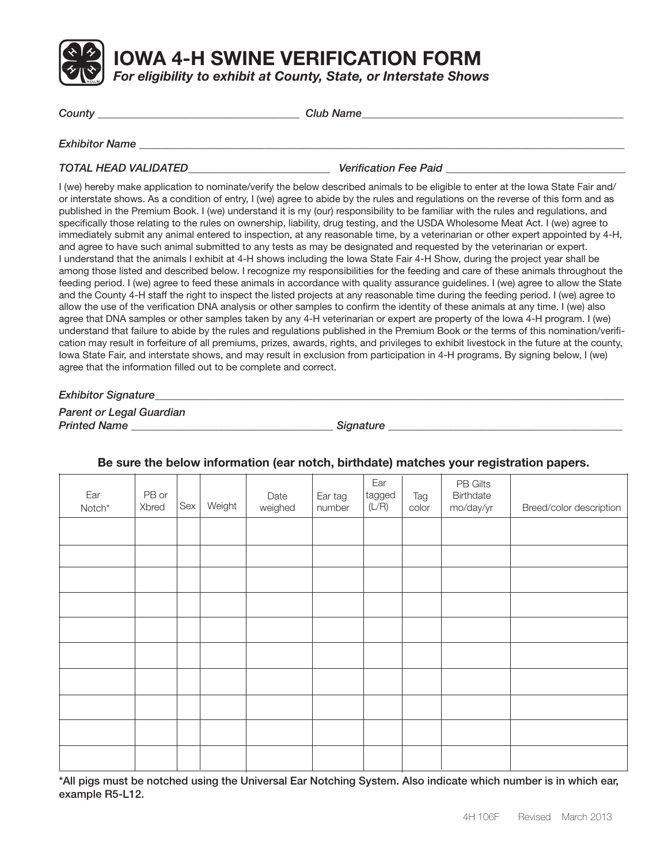

**IOWA 4-H SWINE VERIFICATION FORM**

*For eligibility to exhibit at County, State, or Interstate Shows*

| County                      | <b>Club Name</b>             |  |  |  |  |
|-----------------------------|------------------------------|--|--|--|--|
| <b>Exhibitor Name</b>       |                              |  |  |  |  |
| <b>TOTAL HEAD VALIDATED</b> | <b>Verification Fee Paid</b> |  |  |  |  |

I (we) hereby make application to nominate/verify the below described animals to be eligible to enter at the Iowa State Fair and/ or interstate shows. As a condition of entry, I (we) agree to abide by the rules and regulations on the reverse of this form and as published in the Premium Book. I (we) understand it is my (our) responsibility to be familiar with the rules and regulations, and specifically those relating to the rules on ownership, liability, drug testing, and the USDA Wholesome Meat Act. I (we) agree to immediately submit any animal entered to inspection, at any reasonable time, by a veterinarian or other expert appointed by 4-H, and agree to have such animal submitted to any tests as may be designated and requested by the veterinarian or expert. I understand that the animals I exhibit at 4-H shows including the Iowa State Fair 4-H Show, during the project year shall be among those listed and described below. I recognize my responsibilities for the feeding and care of these animals throughout the feeding period. I (we) agree to feed these animals in accordance with quality assurance guidelines. I (we) agree to allow the State and the County 4-H staff the right to inspect the listed projects at any reasonable time during the feeding period. I (we) agree to allow the use of the verification DNA analysis or other samples to confirm the identity of these animals at any time. I (we) also agree that DNA samples or other samples taken by any 4-H veterinarian or expert are property of the Iowa 4-H program. I (we) understand that failure to abide by the rules and regulations published in the Premium Book or the terms of this nomination/verification may result in forfeiture of all premiums, prizes, awards, rights, and privileges to exhibit livestock in the future at the county, Iowa State Fair, and interstate shows, and may result in exclusion from participation in 4-H programs. By signing below, I (we) agree that the information filled out to be complete and correct.

*Exhibitor Signature\_\_\_\_\_\_\_\_\_\_\_\_\_\_\_\_\_\_\_\_\_\_\_\_\_\_\_\_\_\_\_\_\_\_\_\_\_\_\_\_\_\_\_\_\_\_\_\_\_\_\_\_\_\_\_\_\_\_\_\_\_\_\_\_\_\_\_\_\_\_\_\_\_\_\_\_\_\_\_\_\_\_\_\_\_\_*

*Parent or Legal Guardian* **Printed Name the contract of the contract of the contract of the contract of the contract of the contract of the contract of the contract of the contract of the contract of the contract of the contract of the contract of** 

| Ear<br>$\mathsf{Notch}^{\star}$ | PB or<br>Xbred | Sex | Weight | Date<br>weighed | Ear tag<br>number | Ear<br>tagged<br>(L/R) | Tag<br>color | PB Gilts<br>Birthdate<br>mo/day/yr | Breed/color description |
|---------------------------------|----------------|-----|--------|-----------------|-------------------|------------------------|--------------|------------------------------------|-------------------------|
|                                 |                |     |        |                 |                   |                        |              |                                    |                         |
|                                 |                |     |        |                 |                   |                        |              |                                    |                         |
|                                 |                |     |        |                 |                   |                        |              |                                    |                         |
|                                 |                |     |        |                 |                   |                        |              |                                    |                         |
|                                 |                |     |        |                 |                   |                        |              |                                    |                         |
|                                 |                |     |        |                 |                   |                        |              |                                    |                         |
|                                 |                |     |        |                 |                   |                        |              |                                    |                         |
|                                 |                |     |        |                 |                   |                        |              |                                    |                         |
|                                 |                |     |        |                 |                   |                        |              |                                    |                         |
|                                 |                |     |        |                 |                   |                        |              |                                    |                         |

### **Be sure the below information (ear notch, birthdate) matches your registration papers.**

\*All pigs must be notched using the Universal Ear Notching System. Also indicate which number is in which ear, example R5-L12.